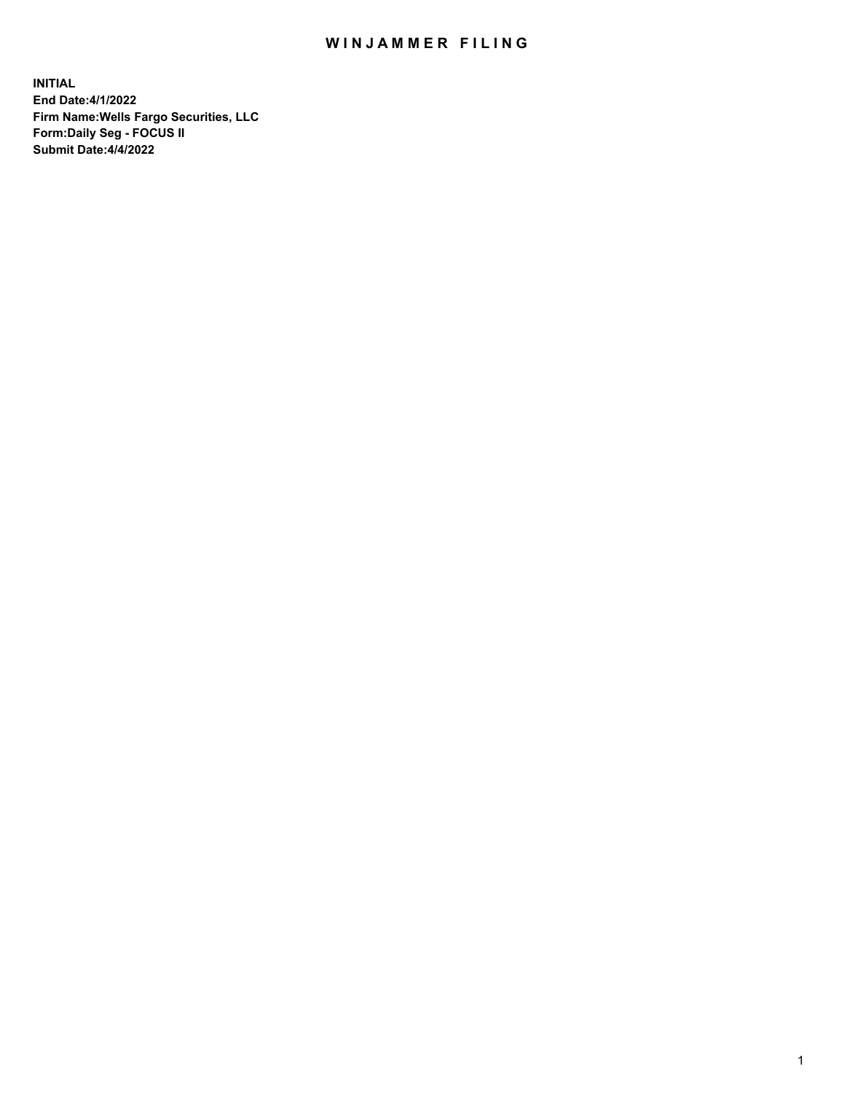## WIN JAMMER FILING

**INITIAL End Date:4/1/2022 Firm Name:Wells Fargo Securities, LLC Form:Daily Seg - FOCUS II Submit Date:4/4/2022**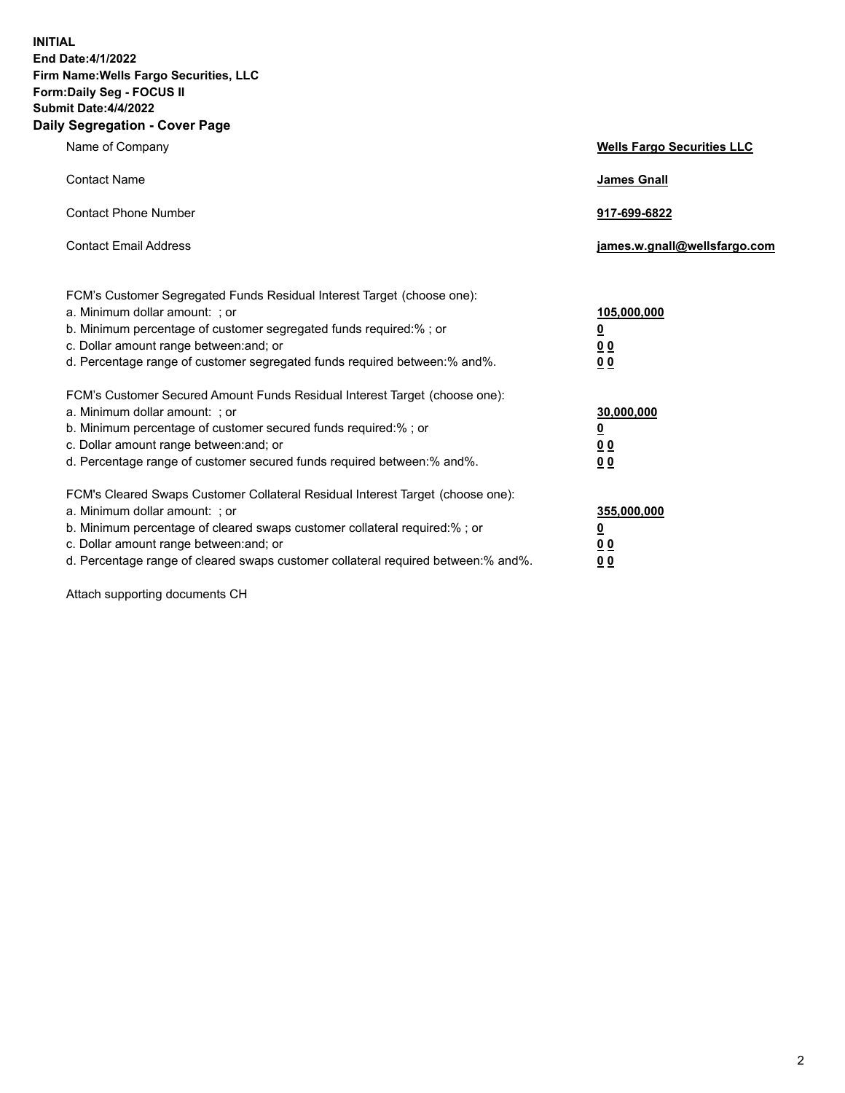**INITIAL End Date:4/1/2022 Firm Name:Wells Fargo Securities, LLC Form:Daily Seg - FOCUS II Submit Date:4/4/2022 Daily Segregation - Cover Page**

| Name of Company                                                                                                  | <b>Wells Fargo Securities LLC</b> |
|------------------------------------------------------------------------------------------------------------------|-----------------------------------|
| <b>Contact Name</b>                                                                                              | <b>James Gnall</b>                |
|                                                                                                                  |                                   |
| <b>Contact Phone Number</b>                                                                                      | 917-699-6822                      |
|                                                                                                                  |                                   |
| <b>Contact Email Address</b>                                                                                     | james.w.gnall@wellsfargo.com      |
|                                                                                                                  |                                   |
| FCM's Customer Segregated Funds Residual Interest Target (choose one):                                           |                                   |
| a. Minimum dollar amount: ; or                                                                                   | 105,000,000                       |
| b. Minimum percentage of customer segregated funds required:% ; or                                               | <u>0</u>                          |
| c. Dollar amount range between: and; or                                                                          | 00                                |
| d. Percentage range of customer segregated funds required between:% and%.                                        | 00                                |
| FCM's Customer Secured Amount Funds Residual Interest Target (choose one):                                       |                                   |
| a. Minimum dollar amount: ; or                                                                                   | 30,000,000                        |
| b. Minimum percentage of customer secured funds required:%; or                                                   | <u>0</u>                          |
| c. Dollar amount range between: and; or                                                                          | 00                                |
| d. Percentage range of customer secured funds required between: % and %.                                         | 0 <sub>0</sub>                    |
|                                                                                                                  |                                   |
| FCM's Cleared Swaps Customer Collateral Residual Interest Target (choose one):<br>a. Minimum dollar amount: ; or | 355,000,000                       |
| b. Minimum percentage of cleared swaps customer collateral required:% ; or                                       | <u>0</u>                          |
| c. Dollar amount range between: and; or                                                                          | <u>00</u>                         |
| d. Percentage range of cleared swaps customer collateral required between:% and%.                                | 00                                |
|                                                                                                                  |                                   |

Attach supporting documents CH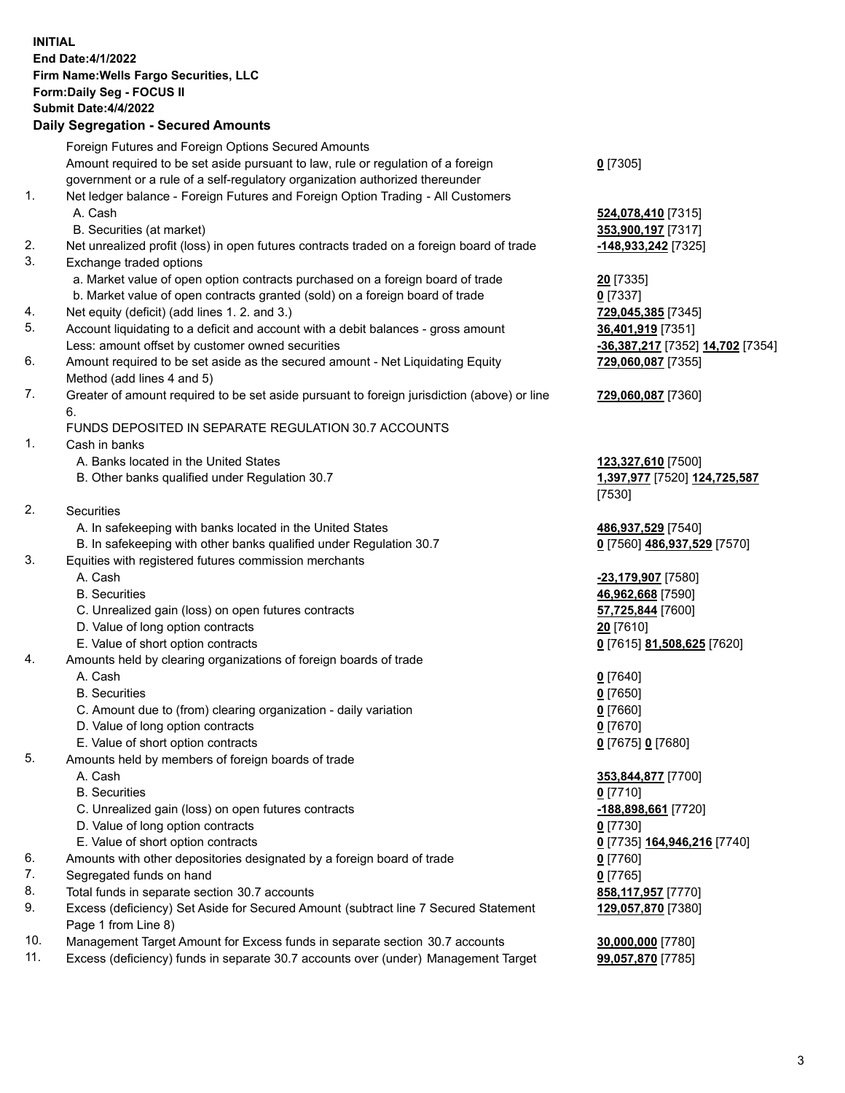**INITIAL End Date:4/1/2022 Firm Name:Wells Fargo Securities, LLC Form:Daily Seg - FOCUS II Submit Date:4/4/2022 Daily Segregation - Secured Amounts** Foreign Futures and Foreign Options Secured Amounts Amount required to be set aside pursuant to law, rule or regulation of a foreign government or a rule of a self-regulatory organization authorized thereunder 1. Net ledger balance - Foreign Futures and Foreign Option Trading - All Customers A. Cash **524,078,410** [7315] B. Securities (at market) **353,900,197** [7317]

- 2. Net unrealized profit (loss) in open futures contracts traded on a foreign board of trade **-148,933,242** [7325]
- 3. Exchange traded options
	- a. Market value of open option contracts purchased on a foreign board of trade **20** [7335]
	- b. Market value of open contracts granted (sold) on a foreign board of trade **0** [7337]
- 4. Net equity (deficit) (add lines 1. 2. and 3.) **729,045,385** [7345]
- 5. Account liquidating to a deficit and account with a debit balances gross amount **36,401,919** [7351] Less: amount offset by customer owned securities **-36,387,217** [7352] **14,702** [7354]
- 6. Amount required to be set aside as the secured amount Net Liquidating Equity Method (add lines 4 and 5)
- 7. Greater of amount required to be set aside pursuant to foreign jurisdiction (above) or line 6.

## FUNDS DEPOSITED IN SEPARATE REGULATION 30.7 ACCOUNTS

- 1. Cash in banks
	- A. Banks located in the United States **123,327,610** [7500]
	- B. Other banks qualified under Regulation 30.7 **1,397,977** [7520] **124,725,587**
- 2. Securities
	- A. In safekeeping with banks located in the United States **486,937,529** [7540]
- B. In safekeeping with other banks qualified under Regulation 30.7 **0** [7560] **486,937,529** [7570]
- 3. Equities with registered futures commission merchants
	-
	-
	- C. Unrealized gain (loss) on open futures contracts **57,725,844** [7600]
	- D. Value of long option contracts **20** [7610]
	- E. Value of short option contracts **0** [7615] **81,508,625** [7620]
- 4. Amounts held by clearing organizations of foreign boards of trade
	- A. Cash **0** [7640]
	- B. Securities **0** [7650]
	- C. Amount due to (from) clearing organization daily variation **0** [7660]
	- D. Value of long option contracts **0** [7670]
	- E. Value of short option contracts **0** [7675] **0** [7680]
- 5. Amounts held by members of foreign boards of trade
	-
	- B. Securities **0** [7710]
	- C. Unrealized gain (loss) on open futures contracts **-188,898,661** [7720]
	- D. Value of long option contracts **0** [7730]
	- E. Value of short option contracts **0** [7735] **164,946,216** [7740]
- 6. Amounts with other depositories designated by a foreign board of trade **0** [7760]
- 7. Segregated funds on hand **0** [7765]
- 8. Total funds in separate section 30.7 accounts **858,117,957** [7770]
- 9. Excess (deficiency) Set Aside for Secured Amount (subtract line 7 Secured Statement Page 1 from Line 8)
- 10. Management Target Amount for Excess funds in separate section 30.7 accounts **30,000,000** [7780]
- 11. Excess (deficiency) funds in separate 30.7 accounts over (under) Management Target **99,057,870** [7785]
- **0** [7305]
- 
- **729,060,087** [7355]
- **729,060,087** [7360]
- [7530]
- 
- A. Cash **-23,179,907** [7580] B. Securities **46,962,668** [7590]
	-
- A. Cash **353,844,877** [7700] **129,057,870** [7380]
	-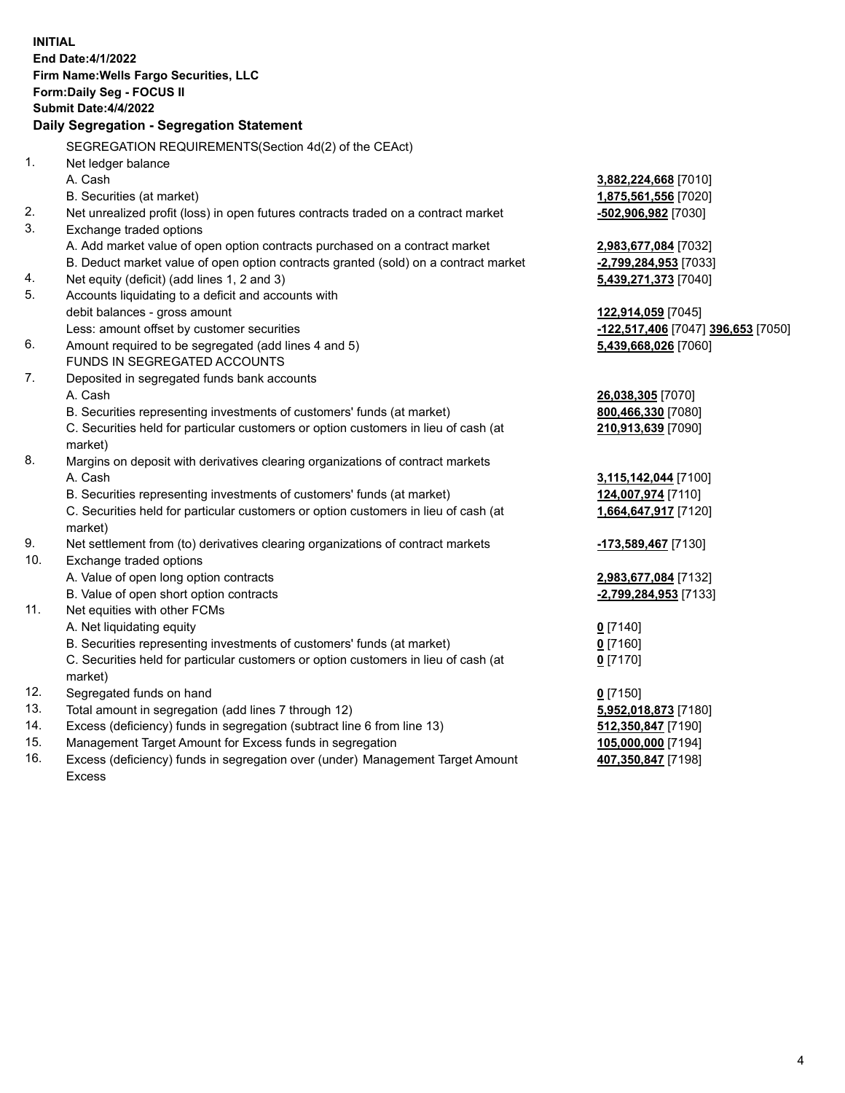|          | <b>INITIAL</b><br>End Date: 4/1/2022<br>Firm Name: Wells Fargo Securities, LLC<br>Form: Daily Seg - FOCUS II<br><b>Submit Date: 4/4/2022</b><br>Daily Segregation - Segregation Statement                                                                                |                                                                                  |
|----------|--------------------------------------------------------------------------------------------------------------------------------------------------------------------------------------------------------------------------------------------------------------------------|----------------------------------------------------------------------------------|
|          | SEGREGATION REQUIREMENTS(Section 4d(2) of the CEAct)                                                                                                                                                                                                                     |                                                                                  |
| 1.<br>2. | Net ledger balance<br>A. Cash<br>B. Securities (at market)<br>Net unrealized profit (loss) in open futures contracts traded on a contract market                                                                                                                         | 3,882,224,668 [7010]<br>1,875,561,556 [7020]<br>-502,906,982 [7030]              |
| 3.       | Exchange traded options                                                                                                                                                                                                                                                  |                                                                                  |
| 4.<br>5. | A. Add market value of open option contracts purchased on a contract market<br>B. Deduct market value of open option contracts granted (sold) on a contract market<br>Net equity (deficit) (add lines 1, 2 and 3)<br>Accounts liquidating to a deficit and accounts with | 2,983,677,084 [7032]<br>-2,799,284,953 [7033]<br>5,439,271,373 [7040]            |
| 6.       | debit balances - gross amount<br>Less: amount offset by customer securities<br>Amount required to be segregated (add lines 4 and 5)                                                                                                                                      | 122,914,059 [7045]<br>-122,517,406 [7047] 396,653 [7050]<br>5,439,668,026 [7060] |
|          | FUNDS IN SEGREGATED ACCOUNTS                                                                                                                                                                                                                                             |                                                                                  |
| 7.       | Deposited in segregated funds bank accounts<br>A. Cash<br>B. Securities representing investments of customers' funds (at market)<br>C. Securities held for particular customers or option customers in lieu of cash (at<br>market)                                       | 26,038,305 [7070]<br>800,466,330 [7080]<br>210,913,639 [7090]                    |
| 8.       | Margins on deposit with derivatives clearing organizations of contract markets<br>A. Cash<br>B. Securities representing investments of customers' funds (at market)<br>C. Securities held for particular customers or option customers in lieu of cash (at<br>market)    | 3,115,142,044 [7100]<br>124,007,974 [7110]<br>1,664,647,917 [7120]               |
| 9.       | Net settlement from (to) derivatives clearing organizations of contract markets                                                                                                                                                                                          | -173,589,467 [7130]                                                              |
| 10.      | Exchange traded options<br>A. Value of open long option contracts<br>B. Value of open short option contracts                                                                                                                                                             | 2,983,677,084 [7132]<br>-2,799,284,953 [7133]                                    |
| 11.      | Net equities with other FCMs<br>A. Net liquidating equity<br>B. Securities representing investments of customers' funds (at market)<br>C. Securities held for particular customers or option customers in lieu of cash (at<br>market)                                    | $0$ [7140]<br>$0$ [7160]<br>$0$ [7170]                                           |
| 12.      | Segregated funds on hand                                                                                                                                                                                                                                                 | $0$ [7150]                                                                       |
| 13.      | Total amount in segregation (add lines 7 through 12)                                                                                                                                                                                                                     | 5,952,018,873 [7180]                                                             |
| 14.      | Excess (deficiency) funds in segregation (subtract line 6 from line 13)                                                                                                                                                                                                  | 512,350,847 [7190]                                                               |
| 15.      | Management Target Amount for Excess funds in segregation                                                                                                                                                                                                                 | 105,000,000 [7194]                                                               |
| 16.      | Excess (deficiency) funds in segregation over (under) Management Target Amount<br>Excess                                                                                                                                                                                 | 407,350,847 [7198]                                                               |